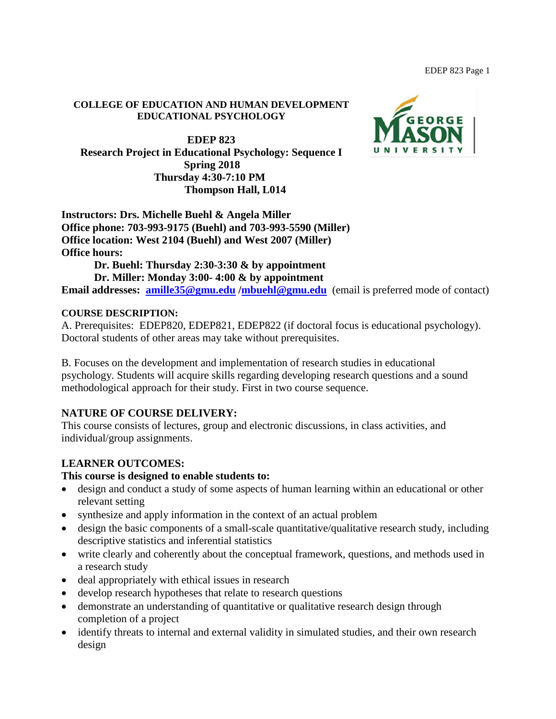#### **COLLEGE OF EDUCATION AND HUMAN DEVELOPMENT EDUCATIONAL PSYCHOLOGY**

**EDEP 823 Research Project in Educational Psychology: Sequence I Spring 2018 Thursday 4:30-7:10 PM Thompson Hall, L014**



**Instructors: Drs. Michelle Buehl & Angela Miller Office phone: 703-993-9175 (Buehl) and 703-993-5590 (Miller) Office location: West 2104 (Buehl) and West 2007 (Miller) Office hours:** 

**Dr. Buehl: Thursday 2:30-3:30 & by appointment Dr. Miller: Monday 3:00- 4:00 & by appointment**

**Email addresses: [amille35@gmu.edu](mailto:amille35@gmu.edu)[/mbuehl@gmu.edu](mailto:mbuehl@gmu.edu)** (email is preferred mode of contact)

#### **COURSE DESCRIPTION:**

A. Prerequisites: EDEP820, EDEP821, EDEP822 (if doctoral focus is educational psychology). Doctoral students of other areas may take without prerequisites.

B. Focuses on the development and implementation of research studies in educational psychology. Students will acquire skills regarding developing research questions and a sound methodological approach for their study. First in two course sequence.

## **NATURE OF COURSE DELIVERY:**

This course consists of lectures, group and electronic discussions, in class activities, and individual/group assignments.

## **LEARNER OUTCOMES:**

#### **This course is designed to enable students to:**

- design and conduct a study of some aspects of human learning within an educational or other relevant setting
- synthesize and apply information in the context of an actual problem
- design the basic components of a small-scale quantitative/qualitative research study, including descriptive statistics and inferential statistics
- write clearly and coherently about the conceptual framework, questions, and methods used in a research study
- deal appropriately with ethical issues in research
- develop research hypotheses that relate to research questions
- demonstrate an understanding of quantitative or qualitative research design through completion of a project
- identify threats to internal and external validity in simulated studies, and their own research design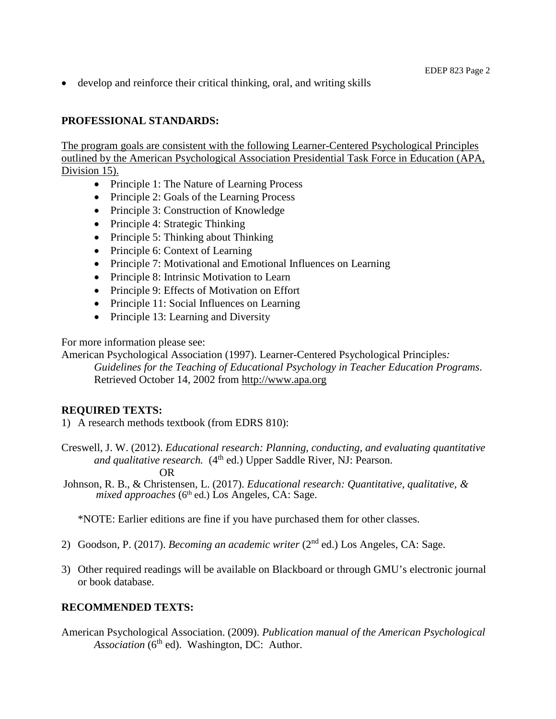• develop and reinforce their critical thinking, oral, and writing skills

# **PROFESSIONAL STANDARDS:**

The program goals are consistent with the following Learner-Centered Psychological Principles outlined by the American Psychological Association Presidential Task Force in Education (APA, Division 15).

- Principle 1: The Nature of Learning Process
- Principle 2: Goals of the Learning Process
- Principle 3: Construction of Knowledge
- Principle 4: Strategic Thinking
- Principle 5: Thinking about Thinking
- Principle 6: Context of Learning
- Principle 7: Motivational and Emotional Influences on Learning
- Principle 8: Intrinsic Motivation to Learn
- Principle 9: Effects of Motivation on Effort
- Principle 11: Social Influences on Learning
- Principle 13: Learning and Diversity

For more information please see:

American Psychological Association (1997). Learner-Centered Psychological Principles*:* 

*Guidelines for the Teaching of Educational Psychology in Teacher Education Programs*. Retrieved October 14, 2002 from [http://www.apa.org](http://www.apa.org/)

# **REQUIRED TEXTS:**

1) A research methods textbook (from EDRS 810):

Creswell, J. W. (2012). *Educational research: Planning, conducting, and evaluating quantitative and qualitative research.* (4<sup>th</sup> ed.) Upper Saddle River, NJ: Pearson.

OR

Johnson, R. B., & Christensen, L. (2017). *Educational research: Quantitative, qualitative, & mixed approaches* (6th ed.) Los Angeles, CA: Sage.

\*NOTE: Earlier editions are fine if you have purchased them for other classes.

- 2) Goodson, P. (2017). *Becoming an academic writer* (2nd ed.) Los Angeles, CA: Sage.
- 3) Other required readings will be available on Blackboard or through GMU's electronic journal or book database.

# **RECOMMENDED TEXTS:**

American Psychological Association. (2009). *Publication manual of the American Psychological Association* (6<sup>th</sup> ed). Washington, DC: Author.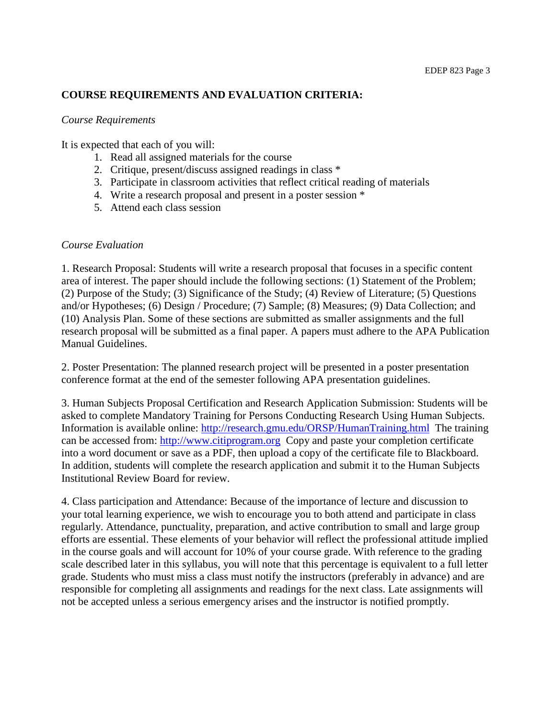# **COURSE REQUIREMENTS AND EVALUATION CRITERIA:**

#### *Course Requirements*

It is expected that each of you will:

- 1. Read all assigned materials for the course
- 2. Critique, present/discuss assigned readings in class \*
- 3. Participate in classroom activities that reflect critical reading of materials
- 4. Write a research proposal and present in a poster session \*
- 5. Attend each class session

#### *Course Evaluation*

1. Research Proposal: Students will write a research proposal that focuses in a specific content area of interest. The paper should include the following sections: (1) Statement of the Problem; (2) Purpose of the Study; (3) Significance of the Study; (4) Review of Literature; (5) Questions and/or Hypotheses; (6) Design / Procedure; (7) Sample; (8) Measures; (9) Data Collection; and (10) Analysis Plan. Some of these sections are submitted as smaller assignments and the full research proposal will be submitted as a final paper. A papers must adhere to the APA Publication Manual Guidelines.

2. Poster Presentation: The planned research project will be presented in a poster presentation conference format at the end of the semester following APA presentation guidelines.

3. Human Subjects Proposal Certification and Research Application Submission: Students will be asked to complete Mandatory Training for Persons Conducting Research Using Human Subjects. Information is available online:<http://research.gmu.edu/ORSP/HumanTraining.html>The training can be accessed from: [http://www.citiprogram.org](http://www.citiprogram.org/) Copy and paste your completion certificate into a word document or save as a PDF, then upload a copy of the certificate file to Blackboard. In addition, students will complete the research application and submit it to the Human Subjects Institutional Review Board for review.

4. Class participation and Attendance: Because of the importance of lecture and discussion to your total learning experience, we wish to encourage you to both attend and participate in class regularly. Attendance, punctuality, preparation, and active contribution to small and large group efforts are essential. These elements of your behavior will reflect the professional attitude implied in the course goals and will account for 10% of your course grade. With reference to the grading scale described later in this syllabus, you will note that this percentage is equivalent to a full letter grade. Students who must miss a class must notify the instructors (preferably in advance) and are responsible for completing all assignments and readings for the next class. Late assignments will not be accepted unless a serious emergency arises and the instructor is notified promptly.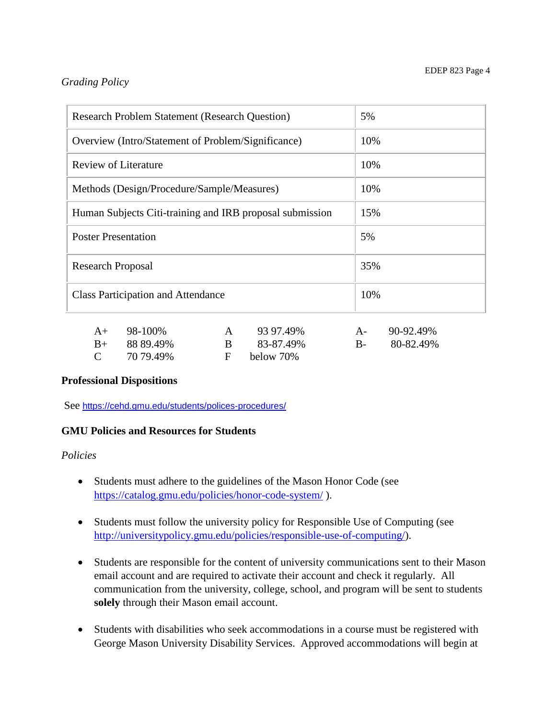# *Grading Policy*

| <b>Research Problem Statement (Research Question)</b>    | 5%                 |
|----------------------------------------------------------|--------------------|
| Overview (Intro/Statement of Problem/Significance)       | 10%                |
| <b>Review of Literature</b>                              | 10%                |
| Methods (Design/Procedure/Sample/Measures)               | 10%                |
| Human Subjects Citi-training and IRB proposal submission | 15%                |
| <b>Poster Presentation</b>                               | 5%                 |
| <b>Research Proposal</b>                                 | 35%                |
| <b>Class Participation and Attendance</b>                | 10%                |
| 98-100%<br>93 97 49%<br>$A+$                             | 90-92.49%<br>$A -$ |

| $A+ 98-100\%$     | A 93 97.49% | $A - 90-92.49\%$ |
|-------------------|-------------|------------------|
| $B_{+}$ 88 89.49% | B 83-87.49% | B- 80-82.49%     |
| $C = 7079.49\%$   | F below 70% |                  |

## **Professional Dispositions**

See <https://cehd.gmu.edu/students/polices-procedures/>

## **GMU Policies and Resources for Students**

#### *Policies*

- Students must adhere to the guidelines of the Mason Honor Code (see <https://catalog.gmu.edu/policies/honor-code-system/> ).
- Students must follow the university policy for Responsible Use of Computing (see [http://universitypolicy.gmu.edu/policies/responsible-use-of-computing/\)](http://universitypolicy.gmu.edu/policies/responsible-use-of-computing/).
- Students are responsible for the content of university communications sent to their Mason email account and are required to activate their account and check it regularly. All communication from the university, college, school, and program will be sent to students **solely** through their Mason email account.
- Students with disabilities who seek accommodations in a course must be registered with George Mason University Disability Services. Approved accommodations will begin at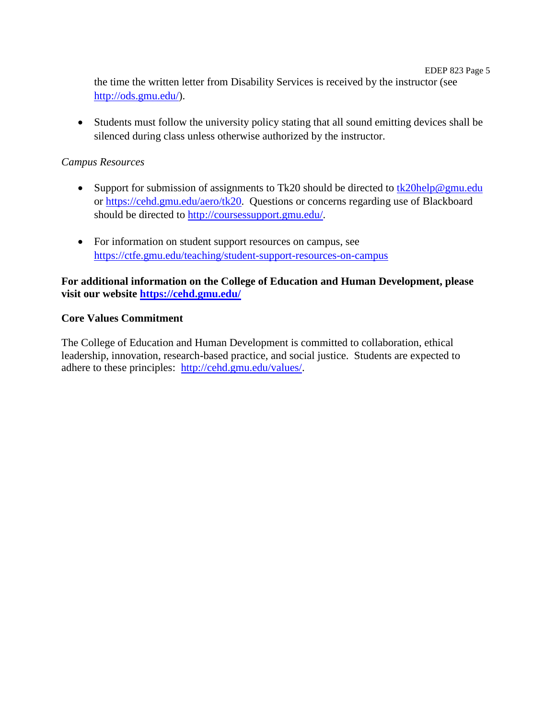EDEP 823 Page 5 the time the written letter from Disability Services is received by the instructor (see [http://ods.gmu.edu/\)](http://ods.gmu.edu/).

• Students must follow the university policy stating that all sound emitting devices shall be silenced during class unless otherwise authorized by the instructor.

# *Campus Resources*

- Support for submission of assignments to Tk20 should be directed to [tk20help@gmu.edu](mailto:tk20help@gmu.edu) or [https://cehd.gmu.edu/aero/tk20.](https://cehd.gmu.edu/aero/tk20) Questions or concerns regarding use of Blackboard should be directed to [http://coursessupport.gmu.edu/.](http://coursessupport.gmu.edu/)
- For information on student support resources on campus, see <https://ctfe.gmu.edu/teaching/student-support-resources-on-campus>

# **For additional information on the College of Education and Human Development, please visit our website<https://cehd.gmu.edu/>**

## **Core Values Commitment**

The College of Education and Human Development is committed to collaboration, ethical leadership, innovation, research-based practice, and social justice. Students are expected to adhere to these principles: [http://cehd.gmu.edu/values/.](http://cehd.gmu.edu/values/)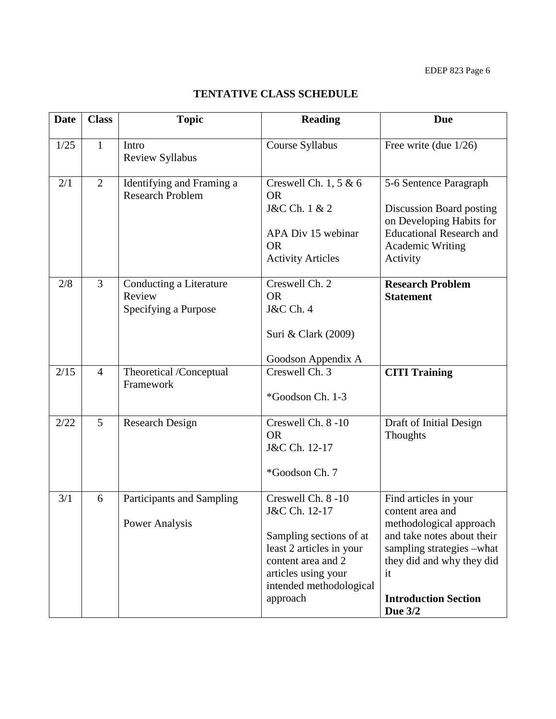# **TENTATIVE CLASS SCHEDULE**

| <b>Date</b> | <b>Class</b>   | <b>Topic</b>                                              | <b>Reading</b>                                                                                                                                                                | <b>Due</b>                                                                                                                                                                                                   |
|-------------|----------------|-----------------------------------------------------------|-------------------------------------------------------------------------------------------------------------------------------------------------------------------------------|--------------------------------------------------------------------------------------------------------------------------------------------------------------------------------------------------------------|
| 1/25        | $\mathbf{1}$   | Intro<br><b>Review Syllabus</b>                           | Course Syllabus                                                                                                                                                               | Free write (due $1/26$ )                                                                                                                                                                                     |
| 2/1         | $\overline{2}$ | Identifying and Framing a<br><b>Research Problem</b>      | Creswell Ch. $1, 5 & 6$<br><b>OR</b><br>J&C Ch. 1 & 2<br>APA Div 15 webinar<br><b>OR</b><br><b>Activity Articles</b>                                                          | 5-6 Sentence Paragraph<br>Discussion Board posting<br>on Developing Habits for<br><b>Educational Research and</b><br>Academic Writing<br>Activity                                                            |
| 2/8         | 3              | Conducting a Literature<br>Review<br>Specifying a Purpose | Creswell Ch. 2<br><b>OR</b><br><b>J&amp;C Ch. 4</b><br>Suri & Clark (2009)<br>Goodson Appendix A                                                                              | <b>Research Problem</b><br><b>Statement</b>                                                                                                                                                                  |
| 2/15        | $\overline{4}$ | Theoretical /Conceptual<br>Framework                      | Creswell Ch. 3<br>*Goodson Ch. 1-3                                                                                                                                            | <b>CITI Training</b>                                                                                                                                                                                         |
| 2/22        | 5              | <b>Research Design</b>                                    | Creswell Ch. 8-10<br><b>OR</b><br>J&C Ch. 12-17<br>*Goodson Ch. 7                                                                                                             | Draft of Initial Design<br><b>Thoughts</b>                                                                                                                                                                   |
| 3/1         | 6              | Participants and Sampling<br>Power Analysis               | Creswell Ch. 8-10<br>J&C Ch. 12-17<br>Sampling sections of at<br>least 2 articles in your<br>content area and 2<br>articles using your<br>intended methodological<br>approach | Find articles in your<br>content area and<br>methodological approach<br>and take notes about their<br>sampling strategies -what<br>they did and why they did<br>it<br><b>Introduction Section</b><br>Due 3/2 |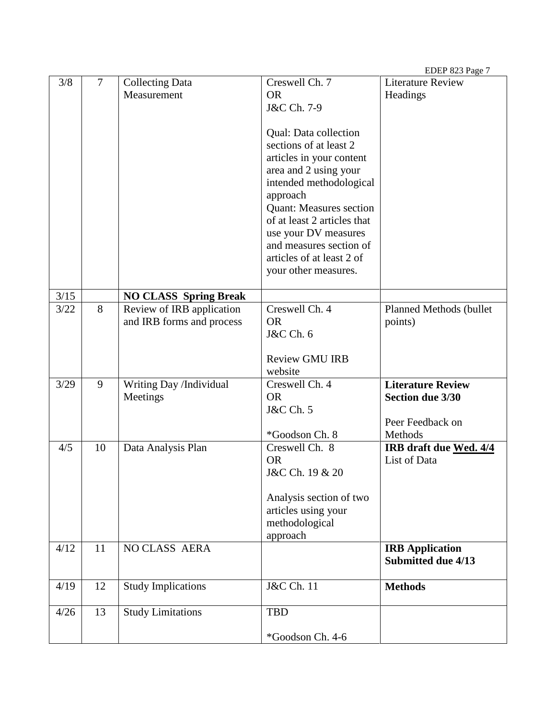|      |                |                              |                                                   | EDEP 823 Page 7          |
|------|----------------|------------------------------|---------------------------------------------------|--------------------------|
| 3/8  | $\overline{7}$ | <b>Collecting Data</b>       | Creswell Ch. 7                                    | <b>Literature Review</b> |
|      |                | Measurement                  | <b>OR</b>                                         | Headings                 |
|      |                |                              | J&C Ch. 7-9                                       |                          |
|      |                |                              |                                                   |                          |
|      |                |                              | Qual: Data collection                             |                          |
|      |                |                              | sections of at least 2                            |                          |
|      |                |                              | articles in your content<br>area and 2 using your |                          |
|      |                |                              | intended methodological                           |                          |
|      |                |                              | approach                                          |                          |
|      |                |                              | <b>Quant: Measures section</b>                    |                          |
|      |                |                              | of at least 2 articles that                       |                          |
|      |                |                              | use your DV measures                              |                          |
|      |                |                              | and measures section of                           |                          |
|      |                |                              | articles of at least 2 of                         |                          |
|      |                |                              | your other measures.                              |                          |
|      |                |                              |                                                   |                          |
| 3/15 |                | <b>NO CLASS Spring Break</b> |                                                   |                          |
| 3/22 | 8              | Review of IRB application    | Creswell Ch. 4<br><b>OR</b>                       | Planned Methods (bullet  |
|      |                | and IRB forms and process    | <b>J&amp;C</b> Ch. 6                              | points)                  |
|      |                |                              |                                                   |                          |
|      |                |                              | <b>Review GMU IRB</b>                             |                          |
|      |                |                              | website                                           |                          |
| 3/29 | 9              | Writing Day /Individual      | Creswell Ch. 4                                    | <b>Literature Review</b> |
|      |                | Meetings                     | <b>OR</b>                                         | <b>Section due 3/30</b>  |
|      |                |                              | <b>J&amp;C</b> Ch. 5                              |                          |
|      |                |                              |                                                   | Peer Feedback on         |
|      |                |                              | *Goodson Ch. 8                                    | Methods                  |
| 4/5  | 10             | Data Analysis Plan           | Creswell Ch. 8                                    | IRB draft due Wed. 4/4   |
|      |                |                              | <b>OR</b>                                         | List of Data             |
|      |                |                              | J&C Ch. 19 & 20                                   |                          |
|      |                |                              | Analysis section of two                           |                          |
|      |                |                              | articles using your                               |                          |
|      |                |                              | methodological                                    |                          |
|      |                |                              | approach                                          |                          |
| 4/12 | 11             | <b>NO CLASS AERA</b>         |                                                   | <b>IRB</b> Application   |
|      |                |                              |                                                   | Submitted due 4/13       |
|      |                |                              |                                                   |                          |
| 4/19 | 12             | <b>Study Implications</b>    | J&C Ch. 11                                        | <b>Methods</b>           |
| 4/26 | 13             | <b>Study Limitations</b>     | <b>TBD</b>                                        |                          |
|      |                |                              |                                                   |                          |
|      |                |                              | *Goodson Ch. 4-6                                  |                          |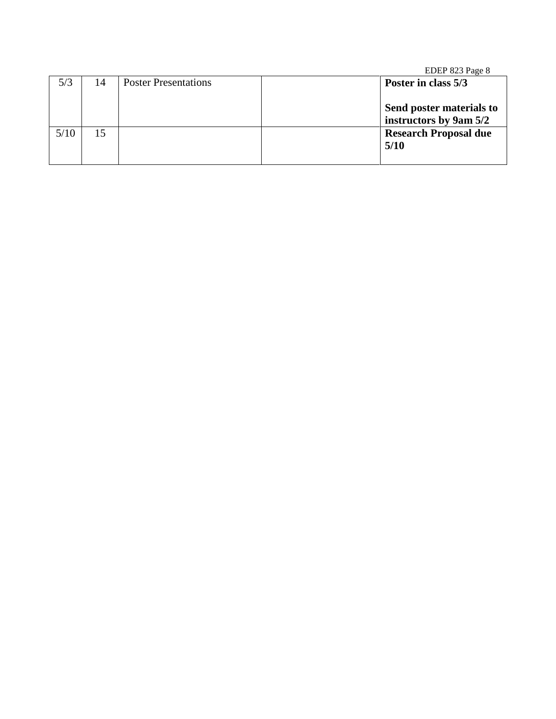|      |    |                             | EDEP 823 Page 8                                    |  |
|------|----|-----------------------------|----------------------------------------------------|--|
| 5/3  | 14 | <b>Poster Presentations</b> | Poster in class 5/3                                |  |
|      |    |                             | Send poster materials to<br>instructors by 9am 5/2 |  |
| 5/10 | 15 |                             | <b>Research Proposal due</b><br>5/10               |  |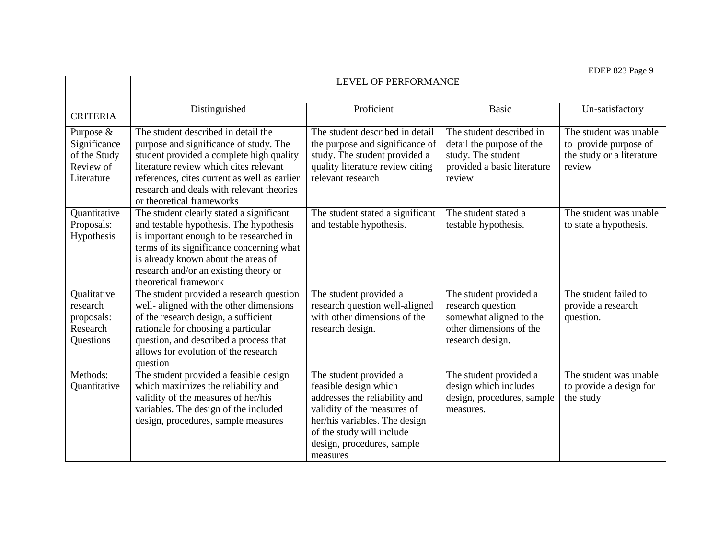EDEP 823 Page 9

|                                                                      | <b>LEVEL OF PERFORMANCE</b>                                                                                                                                                                                                                                                                   |                                                                                                                                                                                                                         |                                                                                                                       |                                                                                        |
|----------------------------------------------------------------------|-----------------------------------------------------------------------------------------------------------------------------------------------------------------------------------------------------------------------------------------------------------------------------------------------|-------------------------------------------------------------------------------------------------------------------------------------------------------------------------------------------------------------------------|-----------------------------------------------------------------------------------------------------------------------|----------------------------------------------------------------------------------------|
| <b>CRITERIA</b>                                                      | Distinguished                                                                                                                                                                                                                                                                                 | Proficient                                                                                                                                                                                                              | <b>Basic</b>                                                                                                          | Un-satisfactory                                                                        |
| Purpose &<br>Significance<br>of the Study<br>Review of<br>Literature | The student described in detail the<br>purpose and significance of study. The<br>student provided a complete high quality<br>literature review which cites relevant<br>references, cites current as well as earlier<br>research and deals with relevant theories<br>or theoretical frameworks | The student described in detail<br>the purpose and significance of<br>study. The student provided a<br>quality literature review citing<br>relevant research                                                            | The student described in<br>detail the purpose of the<br>study. The student<br>provided a basic literature<br>review  | The student was unable<br>to provide purpose of<br>the study or a literature<br>review |
| Quantitative<br>Proposals:<br>Hypothesis                             | The student clearly stated a significant<br>and testable hypothesis. The hypothesis<br>is important enough to be researched in<br>terms of its significance concerning what<br>is already known about the areas of<br>research and/or an existing theory or<br>theoretical framework          | The student stated a significant<br>and testable hypothesis.                                                                                                                                                            | The student stated a<br>testable hypothesis.                                                                          | The student was unable<br>to state a hypothesis.                                       |
| Qualitative<br>research<br>proposals:<br>Research<br>Questions       | The student provided a research question<br>well- aligned with the other dimensions<br>of the research design, a sufficient<br>rationale for choosing a particular<br>question, and described a process that<br>allows for evolution of the research<br>question                              | The student provided a<br>research question well-aligned<br>with other dimensions of the<br>research design.                                                                                                            | The student provided a<br>research question<br>somewhat aligned to the<br>other dimensions of the<br>research design. | The student failed to<br>provide a research<br>question.                               |
| Methods:<br>Quantitative                                             | The student provided a feasible design<br>which maximizes the reliability and<br>validity of the measures of her/his<br>variables. The design of the included<br>design, procedures, sample measures                                                                                          | The student provided a<br>feasible design which<br>addresses the reliability and<br>validity of the measures of<br>her/his variables. The design<br>of the study will include<br>design, procedures, sample<br>measures | The student provided a<br>design which includes<br>design, procedures, sample<br>measures.                            | The student was unable<br>to provide a design for<br>the study                         |